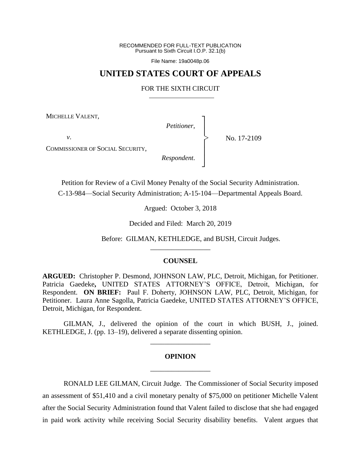RECOMMENDED FOR FULL-TEXT PUBLICATION Pursuant to Sixth Circuit I.O.P. 32.1(b)

File Name: 19a0048p.06

# **UNITED STATES COURT OF APPEALS**

#### FOR THE SIXTH CIRCUIT

MICHELLE VALENT,

*v*.

*Petitioner*,

┐ │ │ │ │ │ ┘

|<br>|<br>|

No. 17-2109

COMMISSIONER OF SOCIAL SECURITY,

*Respondent*.

Petition for Review of a Civil Money Penalty of the Social Security Administration. C-13-984—Social Security Administration; A-15-104—Departmental Appeals Board.

Argued: October 3, 2018

Decided and Filed: March 20, 2019

Before: GILMAN, KETHLEDGE, and BUSH, Circuit Judges.

## **COUNSEL**

\_\_\_\_\_\_\_\_\_\_\_\_\_\_\_\_\_

**ARGUED:** Christopher P. Desmond, JOHNSON LAW, PLC, Detroit, Michigan, for Petitioner. Patricia Gaedeke**,** UNITED STATES ATTORNEY'S OFFICE, Detroit, Michigan, for Respondent. **ON BRIEF:** Paul F. Doherty, JOHNSON LAW, PLC, Detroit, Michigan, for Petitioner. Laura Anne Sagolla, Patricia Gaedeke, UNITED STATES ATTORNEY'S OFFICE, Detroit, Michigan, for Respondent.

GILMAN, J., delivered the opinion of the court in which BUSH, J., joined. KETHLEDGE, J. (pp. 13–19), delivered a separate dissenting opinion.

\_\_\_\_\_\_\_\_\_\_\_\_\_\_\_\_\_

# **OPINION** \_\_\_\_\_\_\_\_\_\_\_\_\_\_\_\_\_

RONALD LEE GILMAN, Circuit Judge.The Commissioner of Social Security imposed an assessment of \$51,410 and a civil monetary penalty of \$75,000 on petitioner Michelle Valent after the Social Security Administration found that Valent failed to disclose that she had engaged in paid work activity while receiving Social Security disability benefits. Valent argues that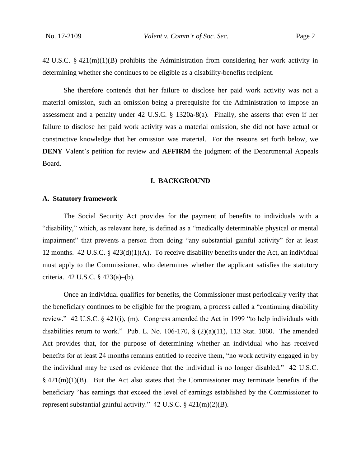42 U.S.C. § 421(m)(1)(B) prohibits the Administration from considering her work activity in determining whether she continues to be eligible as a disability-benefits recipient.

She therefore contends that her failure to disclose her paid work activity was not a material omission, such an omission being a prerequisite for the Administration to impose an assessment and a penalty under 42 U.S.C. § 1320a-8(a). Finally, she asserts that even if her failure to disclose her paid work activity was a material omission, she did not have actual or constructive knowledge that her omission was material. For the reasons set forth below, we **DENY** Valent's petition for review and **AFFIRM** the judgment of the Departmental Appeals Board.

#### **I. BACKGROUND**

# **A. Statutory framework**

The Social Security Act provides for the payment of benefits to individuals with a "disability," which, as relevant here, is defined as a "medically determinable physical or mental impairment" that prevents a person from doing "any substantial gainful activity" for at least 12 months. 42 U.S.C. § 423(d)(1)(A). To receive disability benefits under the Act, an individual must apply to the Commissioner, who determines whether the applicant satisfies the statutory criteria. 42 U.S.C. § 423(a)–(b).

Once an individual qualifies for benefits, the Commissioner must periodically verify that the beneficiary continues to be eligible for the program, a process called a "continuing disability review." 42 U.S.C. § 421(i), (m). Congress amended the Act in 1999 "to help individuals with disabilities return to work." Pub. L. No. 106-170,  $\S$  (2)(a)(11), 113 Stat. 1860. The amended Act provides that, for the purpose of determining whether an individual who has received benefits for at least 24 months remains entitled to receive them, "no work activity engaged in by the individual may be used as evidence that the individual is no longer disabled." 42 U.S.C.  $§$  421(m)(1)(B). But the Act also states that the Commissioner may terminate benefits if the beneficiary "has earnings that exceed the level of earnings established by the Commissioner to represent substantial gainful activity." 42 U.S.C. § 421(m)(2)(B).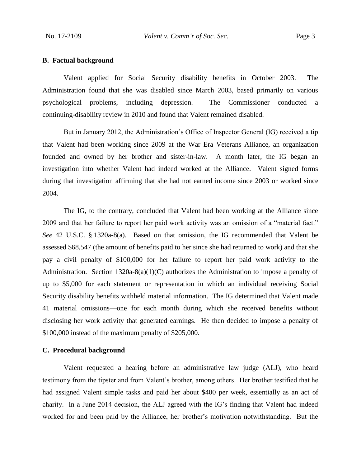## **B. Factual background**

Valent applied for Social Security disability benefits in October 2003. The Administration found that she was disabled since March 2003, based primarily on various psychological problems, including depression. The Commissioner conducted a continuing-disability review in 2010 and found that Valent remained disabled.

But in January 2012, the Administration's Office of Inspector General (IG) received a tip that Valent had been working since 2009 at the War Era Veterans Alliance, an organization founded and owned by her brother and sister-in-law. A month later, the IG began an investigation into whether Valent had indeed worked at the Alliance. Valent signed forms during that investigation affirming that she had not earned income since 2003 or worked since 2004.

The IG, to the contrary, concluded that Valent had been working at the Alliance since 2009 and that her failure to report her paid work activity was an omission of a "material fact." *See* 42 U.S.C. § 1320a-8(a). Based on that omission, the IG recommended that Valent be assessed \$68,547 (the amount of benefits paid to her since she had returned to work) and that she pay a civil penalty of \$100,000 for her failure to report her paid work activity to the Administration. Section  $1320a-8(a)(1)(C)$  authorizes the Administration to impose a penalty of up to \$5,000 for each statement or representation in which an individual receiving Social Security disability benefits withheld material information. The IG determined that Valent made 41 material omissions—one for each month during which she received benefits without disclosing her work activity that generated earnings. He then decided to impose a penalty of \$100,000 instead of the maximum penalty of \$205,000.

## **C. Procedural background**

Valent requested a hearing before an administrative law judge (ALJ), who heard testimony from the tipster and from Valent's brother, among others. Her brother testified that he had assigned Valent simple tasks and paid her about \$400 per week, essentially as an act of charity. In a June 2014 decision, the ALJ agreed with the IG's finding that Valent had indeed worked for and been paid by the Alliance, her brother's motivation notwithstanding. But the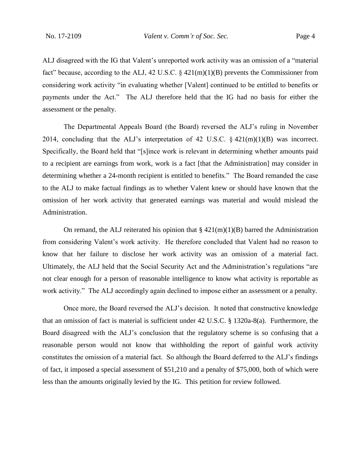No. 17-2109 *Valent v. Comm'r of Soc. Sec.* Page 4

ALJ disagreed with the IG that Valent's unreported work activity was an omission of a "material fact" because, according to the ALJ, 42 U.S.C.  $\S$  421(m)(1)(B) prevents the Commissioner from considering work activity "in evaluating whether [Valent] continued to be entitled to benefits or payments under the Act." The ALJ therefore held that the IG had no basis for either the assessment or the penalty.

The Departmental Appeals Board (the Board) reversed the ALJ's ruling in November 2014, concluding that the ALJ's interpretation of 42 U.S.C.  $\S$  421(m)(1)(B) was incorrect. Specifically, the Board held that "[s]ince work is relevant in determining whether amounts paid to a recipient are earnings from work, work is a fact [that the Administration] may consider in determining whether a 24-month recipient is entitled to benefits." The Board remanded the case to the ALJ to make factual findings as to whether Valent knew or should have known that the omission of her work activity that generated earnings was material and would mislead the Administration.

On remand, the ALJ reiterated his opinion that  $\S$  421(m)(1)(B) barred the Administration from considering Valent's work activity. He therefore concluded that Valent had no reason to know that her failure to disclose her work activity was an omission of a material fact. Ultimately, the ALJ held that the Social Security Act and the Administration's regulations "are not clear enough for a person of reasonable intelligence to know what activity is reportable as work activity." The ALJ accordingly again declined to impose either an assessment or a penalty.

Once more, the Board reversed the ALJ's decision. It noted that constructive knowledge that an omission of fact is material is sufficient under 42 U.S.C. § 1320a-8(a). Furthermore, the Board disagreed with the ALJ's conclusion that the regulatory scheme is so confusing that a reasonable person would not know that withholding the report of gainful work activity constitutes the omission of a material fact. So although the Board deferred to the ALJ's findings of fact, it imposed a special assessment of \$51,210 and a penalty of \$75,000, both of which were less than the amounts originally levied by the IG. This petition for review followed.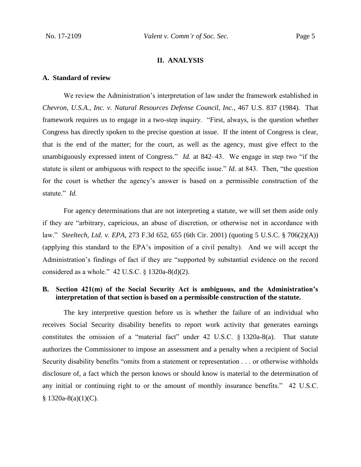## **II. ANALYSIS**

## **A. Standard of review**

We review the Administration's interpretation of law under the framework established in *Chevron, U.S.A., Inc. v. Natural Resources Defense Council, Inc.*, 467 U.S. 837 (1984). That framework requires us to engage in a two-step inquiry. "First, always, is the question whether Congress has directly spoken to the precise question at issue. If the intent of Congress is clear, that is the end of the matter; for the court, as well as the agency, must give effect to the unambiguously expressed intent of Congress." *Id.* at 842–43. We engage in step two "if the statute is silent or ambiguous with respect to the specific issue." *Id.* at 843. Then, "the question for the court is whether the agency's answer is based on a permissible construction of the statute." *Id.*

For agency determinations that are not interpreting a statute, we will set them aside only if they are "arbitrary, capricious, an abuse of discretion, or otherwise not in accordance with law." *Steeltech, Ltd. v. EPA*, 273 F.3d 652, 655 (6th Cir. 2001) (quoting 5 U.S.C. § 706(2)(A)) (applying this standard to the EPA's imposition of a civil penalty). And we will accept the Administration's findings of fact if they are "supported by substantial evidence on the record considered as a whole." 42 U.S.C. § 1320a-8(d)(2).

# **B. Section 421(m) of the Social Security Act is ambiguous, and the Administration's interpretation of that section is based on a permissible construction of the statute.**

The key interpretive question before us is whether the failure of an individual who receives Social Security disability benefits to report work activity that generates earnings constitutes the omission of a "material fact" under 42 U.S.C. § 1320a-8(a). That statute authorizes the Commissioner to impose an assessment and a penalty when a recipient of Social Security disability benefits "omits from a statement or representation . . . or otherwise withholds disclosure of, a fact which the person knows or should know is material to the determination of any initial or continuing right to or the amount of monthly insurance benefits." 42 U.S.C.  $§ 1320a-8(a)(1)(C).$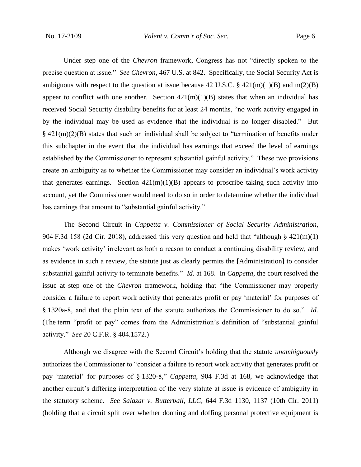Under step one of the *Chevron* framework, Congress has not "directly spoken to the precise question at issue." *See Chevron*, 467 U.S. at 842. Specifically, the Social Security Act is ambiguous with respect to the question at issue because 42 U.S.C.  $\S$  421(m)(1)(B) and m(2)(B) appear to conflict with one another. Section  $421(m)(1)(B)$  states that when an individual has received Social Security disability benefits for at least 24 months, "no work activity engaged in by the individual may be used as evidence that the individual is no longer disabled." But § 421(m)(2)(B) states that such an individual shall be subject to "termination of benefits under this subchapter in the event that the individual has earnings that exceed the level of earnings established by the Commissioner to represent substantial gainful activity." These two provisions create an ambiguity as to whether the Commissioner may consider an individual's work activity that generates earnings. Section  $421(m)(1)(B)$  appears to proscribe taking such activity into account, yet the Commissioner would need to do so in order to determine whether the individual has earnings that amount to "substantial gainful activity."

The Second Circuit in *Cappetta v. Commissioner of Social Security Administration*, 904 F.3d 158 (2d Cir. 2018), addressed this very question and held that "although § 421(m)(1) makes 'work activity' irrelevant as both a reason to conduct a continuing disability review, and as evidence in such a review, the statute just as clearly permits the [Administration] to consider substantial gainful activity to terminate benefits." *Id.* at 168. In *Cappetta*, the court resolved the issue at step one of the *Chevron* framework, holding that "the Commissioner may properly consider a failure to report work activity that generates profit or pay 'material' for purposes of § 1320a-8, and that the plain text of the statute authorizes the Commissioner to do so." *Id.* (The term "profit or pay" comes from the Administration's definition of "substantial gainful activity." *See* 20 C.F.R. § 404.1572.)

Although we disagree with the Second Circuit's holding that the statute *unambiguously* authorizes the Commissioner to "consider a failure to report work activity that generates profit or pay 'material' for purposes of § 1320-8," *Cappetta*, 904 F.3d at 168, we acknowledge that another circuit's differing interpretation of the very statute at issue is evidence of ambiguity in the statutory scheme. *See Salazar v. Butterball, LLC*, 644 F.3d 1130, 1137 (10th Cir. 2011) (holding that a circuit split over whether donning and doffing personal protective equipment is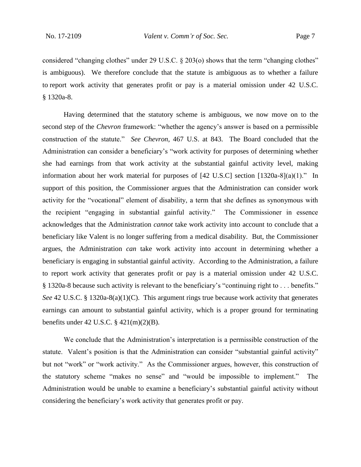considered "changing clothes" under 29 U.S.C. § 203(o) shows that the term "changing clothes" is ambiguous). We therefore conclude that the statute is ambiguous as to whether a failure to report work activity that generates profit or pay is a material omission under 42 U.S.C. § 1320a-8.

Having determined that the statutory scheme is ambiguous, we now move on to the second step of the *Chevron* framework: "whether the agency's answer is based on a permissible construction of the statute." *See Chevron*, 467 U.S. at 843. The Board concluded that the Administration can consider a beneficiary's "work activity for purposes of determining whether she had earnings from that work activity at the substantial gainful activity level, making information about her work material for purposes of [42 U.S.C] section [1320a-8](a)(1)." In support of this position, the Commissioner argues that the Administration can consider work activity for the "vocational" element of disability, a term that she defines as synonymous with the recipient "engaging in substantial gainful activity." The Commissioner in essence acknowledges that the Administration *cannot* take work activity into account to conclude that a beneficiary like Valent is no longer suffering from a medical disability. But, the Commissioner argues, the Administration *can* take work activity into account in determining whether a beneficiary is engaging in substantial gainful activity. According to the Administration, a failure to report work activity that generates profit or pay is a material omission under 42 U.S.C. § 1320a-8 because such activity is relevant to the beneficiary's "continuing right to . . . benefits." *See* 42 U.S.C. § 1320a-8(a)(1)(C). This argument rings true because work activity that generates earnings can amount to substantial gainful activity, which is a proper ground for terminating benefits under 42 U.S.C. § 421(m)(2)(B).

We conclude that the Administration's interpretation is a permissible construction of the statute. Valent's position is that the Administration can consider "substantial gainful activity" but not "work" or "work activity." As the Commissioner argues, however, this construction of the statutory scheme "makes no sense" and "would be impossible to implement." The Administration would be unable to examine a beneficiary's substantial gainful activity without considering the beneficiary's work activity that generates profit or pay.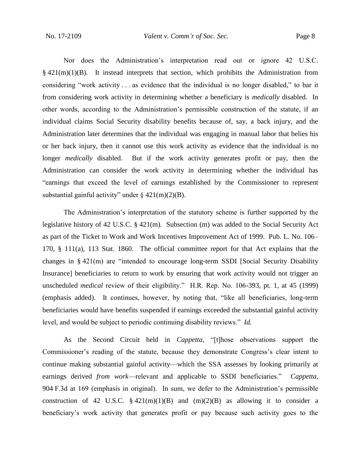Nor does the Administration's interpretation read out or ignore 42 U.S.C.  $§$  421(m)(1)(B). It instead interprets that section, which prohibits the Administration from considering "work activity . . . as evidence that the individual is no longer disabled," to bar it from considering work activity in determining whether a beneficiary is *medically* disabled. In other words, according to the Administration's permissible construction of the statute, if an individual claims Social Security disability benefits because of, say, a back injury, and the Administration later determines that the individual was engaging in manual labor that belies his or her back injury, then it cannot use this work activity as evidence that the individual is no longer *medically* disabled. But if the work activity generates profit or pay, then the Administration can consider the work activity in determining whether the individual has "earnings that exceed the level of earnings established by the Commissioner to represent substantial gainful activity" under  $\S$  421(m)(2)(B).

The Administration's interpretation of the statutory scheme is further supported by the legislative history of 42 U.S.C. § 421(m). Subsection (m) was added to the Social Security Act as part of the Ticket to Work and Work Incentives Improvement Act of 1999. Pub. L. No. 106– 170, § 111(a), 113 Stat. 1860. The official committee report for that Act explains that the changes in § 421(m) are "intended to encourage long-term SSDI [Social Security Disability Insurance] beneficiaries to return to work by ensuring that work activity would not trigger an unscheduled *medical* review of their eligibility." H.R. Rep. No. 106-393, pt. 1, at 45 (1999) (emphasis added). It continues, however, by noting that, "like all beneficiaries, long-term beneficiaries would have benefits suspended if earnings exceeded the substantial gainful activity level, and would be subject to periodic continuing disability reviews." *Id.*

As the Second Circuit held in *Cappetta*, "[t]hose observations support the Commissioner's reading of the statute, because they demonstrate Congress's clear intent to continue making substantial gainful activity—which the SSA assesses by looking primarily at earnings derived *from work*—relevant and applicable to SSDI beneficiaries." *Cappetta*, 904 F.3d at 169 (emphasis in original). In sum, we defer to the Administration's permissible construction of 42 U.S.C.  $\S$  421(m)(1)(B) and (m)(2)(B) as allowing it to consider a beneficiary's work activity that generates profit or pay because such activity goes to the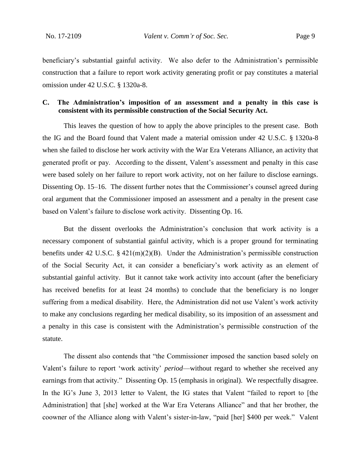beneficiary's substantial gainful activity. We also defer to the Administration's permissible construction that a failure to report work activity generating profit or pay constitutes a material omission under 42 U.S.C. § 1320a-8.

## **C. The Administration's imposition of an assessment and a penalty in this case is consistent with its permissible construction of the Social Security Act.**

This leaves the question of how to apply the above principles to the present case. Both the IG and the Board found that Valent made a material omission under 42 U.S.C. § 1320a-8 when she failed to disclose her work activity with the War Era Veterans Alliance, an activity that generated profit or pay. According to the dissent, Valent's assessment and penalty in this case were based solely on her failure to report work activity, not on her failure to disclose earnings. Dissenting Op. 15–16. The dissent further notes that the Commissioner's counsel agreed during oral argument that the Commissioner imposed an assessment and a penalty in the present case based on Valent's failure to disclose work activity. Dissenting Op. 16.

But the dissent overlooks the Administration's conclusion that work activity is a necessary component of substantial gainful activity, which is a proper ground for terminating benefits under 42 U.S.C. § 421(m)(2)(B). Under the Administration's permissible construction of the Social Security Act, it can consider a beneficiary's work activity as an element of substantial gainful activity. But it cannot take work activity into account (after the beneficiary has received benefits for at least 24 months) to conclude that the beneficiary is no longer suffering from a medical disability. Here, the Administration did not use Valent's work activity to make any conclusions regarding her medical disability, so its imposition of an assessment and a penalty in this case is consistent with the Administration's permissible construction of the statute.

The dissent also contends that "the Commissioner imposed the sanction based solely on Valent's failure to report 'work activity' *period*—without regard to whether she received any earnings from that activity." Dissenting Op. 15 (emphasis in original). We respectfully disagree. In the IG's June 3, 2013 letter to Valent, the IG states that Valent "failed to report to [the Administration] that [she] worked at the War Era Veterans Alliance" and that her brother, the coowner of the Alliance along with Valent's sister-in-law, "paid [her] \$400 per week." Valent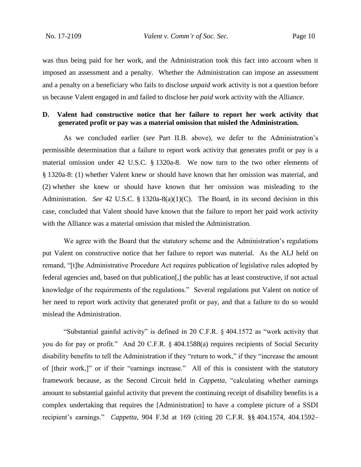was thus being paid for her work, and the Administration took this fact into account when it imposed an assessment and a penalty. Whether the Administration can impose an assessment and a penalty on a beneficiary who fails to disclose *unpaid* work activity is not a question before us because Valent engaged in and failed to disclose her *paid* work activity with the Alliance.

# **D. Valent had constructive notice that her failure to report her work activity that generated profit or pay was a material omission that misled the Administration.**

As we concluded earlier (*see* Part II.B. above), we defer to the Administration's permissible determination that a failure to report work activity that generates profit or pay is a material omission under 42 U.S.C. § 1320a-8. We now turn to the two other elements of § 1320a-8: (1) whether Valent knew or should have known that her omission was material, and (2) whether she knew or should have known that her omission was misleading to the Administration. *See* 42 U.S.C. § 1320a-8(a)(1)(C). The Board, in its second decision in this case, concluded that Valent should have known that the failure to report her paid work activity with the Alliance was a material omission that misled the Administration.

We agree with the Board that the statutory scheme and the Administration's regulations put Valent on constructive notice that her failure to report was material. As the ALJ held on remand, "[t]he Administrative Procedure Act requires publication of legislative rules adopted by federal agencies and, based on that publication[,] the public has at least constructive, if not actual knowledge of the requirements of the regulations." Several regulations put Valent on notice of her need to report work activity that generated profit or pay, and that a failure to do so would mislead the Administration.

"Substantial gainful activity" is defined in 20 C.F.R. § 404.1572 as "work activity that you do for pay or profit." And 20 C.F.R. § 404.1588(a) requires recipients of Social Security disability benefits to tell the Administration if they "return to work," if they "increase the amount of [their work,]" or if their "earnings increase." All of this is consistent with the statutory framework because, as the Second Circuit held in *Cappetta*, "calculating whether earnings amount to substantial gainful activity that prevent the continuing receipt of disability benefits is a complex undertaking that requires the [Administration] to have a complete picture of a SSDI recipient's earnings." *Cappetta*, 904 F.3d at 169 (citing 20 C.F.R. §§ 404.1574, 404.1592–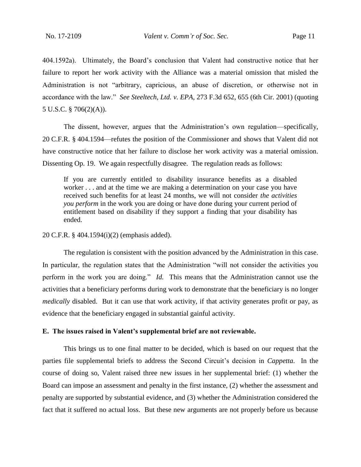404.1592a). Ultimately, the Board's conclusion that Valent had constructive notice that her failure to report her work activity with the Alliance was a material omission that misled the Administration is not "arbitrary, capricious, an abuse of discretion, or otherwise not in accordance with the law." *See Steeltech, Ltd. v. EPA*, 273 F.3d 652, 655 (6th Cir. 2001) (quoting 5 U.S.C. § 706(2)(A)).

The dissent, however, argues that the Administration's own regulation—specifically, 20 C.F.R. § 404.1594—refutes the position of the Commissioner and shows that Valent did not have constructive notice that her failure to disclose her work activity was a material omission. Dissenting Op. 19. We again respectfully disagree. The regulation reads as follows:

If you are currently entitled to disability insurance benefits as a disabled worker . . . and at the time we are making a determination on your case you have received such benefits for at least 24 months, we will not consider *the activities you perform* in the work you are doing or have done during your current period of entitlement based on disability if they support a finding that your disability has ended.

20 C.F.R. § 404.1594(i)(2) (emphasis added).

The regulation is consistent with the position advanced by the Administration in this case. In particular, the regulation states that the Administration "will not consider the activities you perform in the work you are doing." *Id.* This means that the Administration cannot use the activities that a beneficiary performs during work to demonstrate that the beneficiary is no longer *medically* disabled. But it can use that work activity, if that activity generates profit or pay, as evidence that the beneficiary engaged in substantial gainful activity.

### **E. The issues raised in Valent's supplemental brief are not reviewable.**

This brings us to one final matter to be decided, which is based on our request that the parties file supplemental briefs to address the Second Circuit's decision in *Cappetta*. In the course of doing so, Valent raised three new issues in her supplemental brief: (1) whether the Board can impose an assessment and penalty in the first instance, (2) whether the assessment and penalty are supported by substantial evidence, and (3) whether the Administration considered the fact that it suffered no actual loss. But these new arguments are not properly before us because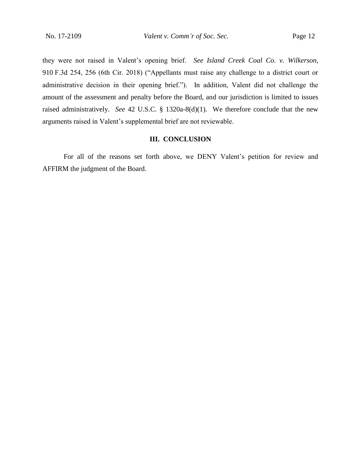they were not raised in Valent's opening brief. *See Island Creek Coal Co. v. Wilkerson*, 910 F.3d 254, 256 (6th Cir. 2018) ("Appellants must raise any challenge to a district court or administrative decision in their opening brief."). In addition, Valent did not challenge the amount of the assessment and penalty before the Board, and our jurisdiction is limited to issues raised administratively. *See* 42 U.S.C. § 1320a-8(d)(1). We therefore conclude that the new arguments raised in Valent's supplemental brief are not reviewable.

### **III. CONCLUSION**

For all of the reasons set forth above, we DENY Valent's petition for review and AFFIRM the judgment of the Board.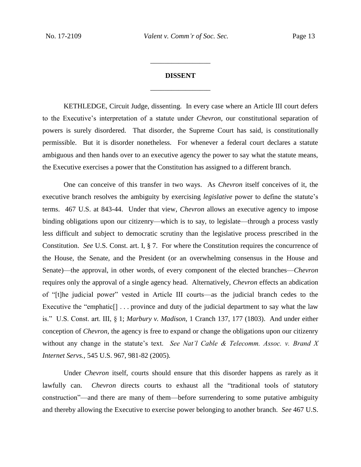# **DISSENT** \_\_\_\_\_\_\_\_\_\_\_\_\_\_\_\_\_

\_\_\_\_\_\_\_\_\_\_\_\_\_\_\_\_\_

KETHLEDGE, Circuit Judge, dissenting. In every case where an Article III court defers to the Executive's interpretation of a statute under *Chevron*, our constitutional separation of powers is surely disordered. That disorder, the Supreme Court has said, is constitutionally permissible. But it is disorder nonetheless. For whenever a federal court declares a statute ambiguous and then hands over to an executive agency the power to say what the statute means, the Executive exercises a power that the Constitution has assigned to a different branch.

One can conceive of this transfer in two ways. As *Chevron* itself conceives of it, the executive branch resolves the ambiguity by exercising *legislative* power to define the statute's terms. 467 U.S. at 843-44. Under that view, *Chevron* allows an executive agency to impose binding obligations upon our citizenry—which is to say, to legislate—through a process vastly less difficult and subject to democratic scrutiny than the legislative process prescribed in the Constitution. *See* U.S. Const. art. I, § 7. For where the Constitution requires the concurrence of the House, the Senate, and the President (or an overwhelming consensus in the House and Senate)—the approval, in other words, of every component of the elected branches—*Chevron* requires only the approval of a single agency head. Alternatively, *Chevron* effects an abdication of "[t]he judicial power" vested in Article III courts—as the judicial branch cedes to the Executive the "emphatic<sup>[]</sup> ... province and duty of the judicial department to say what the law is." U.S. Const. art. III, § 1; *Marbury v. Madison*, 1 Cranch 137, 177 (1803). And under either conception of *Chevron*, the agency is free to expand or change the obligations upon our citizenry without any change in the statute's text. *See Nat'l Cable & Telecomm. Assoc. v. Brand X Internet Servs.*, 545 U.S. 967, 981-82 (2005).

Under *Chevron* itself, courts should ensure that this disorder happens as rarely as it lawfully can. *Chevron* directs courts to exhaust all the "traditional tools of statutory construction"—and there are many of them—before surrendering to some putative ambiguity and thereby allowing the Executive to exercise power belonging to another branch. *See* 467 U.S.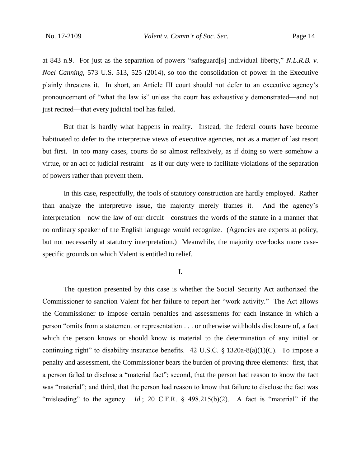at 843 n.9. For just as the separation of powers "safeguard[s] individual liberty," *N.L.R.B. v. Noel Canning*, 573 U.S. 513, 525 (2014), so too the consolidation of power in the Executive plainly threatens it. In short, an Article III court should not defer to an executive agency's pronouncement of "what the law is" unless the court has exhaustively demonstrated—and not just recited—that every judicial tool has failed.

But that is hardly what happens in reality. Instead, the federal courts have become habituated to defer to the interpretive views of executive agencies, not as a matter of last resort but first. In too many cases, courts do so almost reflexively, as if doing so were somehow a virtue, or an act of judicial restraint—as if our duty were to facilitate violations of the separation of powers rather than prevent them.

In this case, respectfully, the tools of statutory construction are hardly employed. Rather than analyze the interpretive issue, the majority merely frames it. And the agency's interpretation—now the law of our circuit—construes the words of the statute in a manner that no ordinary speaker of the English language would recognize. (Agencies are experts at policy, but not necessarily at statutory interpretation.) Meanwhile, the majority overlooks more casespecific grounds on which Valent is entitled to relief.

I.

The question presented by this case is whether the Social Security Act authorized the Commissioner to sanction Valent for her failure to report her "work activity." The Act allows the Commissioner to impose certain penalties and assessments for each instance in which a person "omits from a statement or representation . . . or otherwise withholds disclosure of, a fact which the person knows or should know is material to the determination of any initial or continuing right" to disability insurance benefits. 42 U.S.C.  $\S$  1320a-8(a)(1)(C). To impose a penalty and assessment, the Commissioner bears the burden of proving three elements: first, that a person failed to disclose a "material fact"; second, that the person had reason to know the fact was "material"; and third, that the person had reason to know that failure to disclose the fact was "misleading" to the agency. *Id.*; 20 C.F.R. § 498.215(b)(2). A fact is "material" if the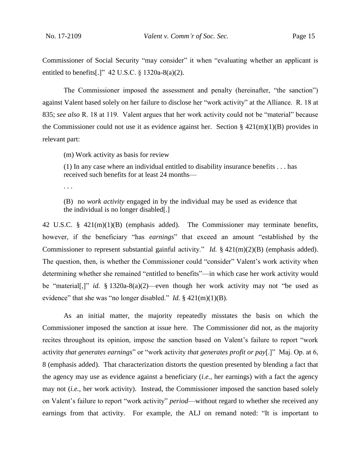Commissioner of Social Security "may consider" it when "evaluating whether an applicant is entitled to benefits[.]"  $42$  U.S.C. § 1320a-8(a)(2).

The Commissioner imposed the assessment and penalty (hereinafter, "the sanction") against Valent based solely on her failure to disclose her "work activity" at the Alliance. R. 18 at 835; *see also* R. 18 at 119. Valent argues that her work activity could not be "material" because the Commissioner could not use it as evidence against her. Section §  $421(m)(1)(B)$  provides in relevant part:

(m) Work activity as basis for review

(1) In any case where an individual entitled to disability insurance benefits . . . has received such benefits for at least 24 months—

. . .

(B) no *work activity* engaged in by the individual may be used as evidence that the individual is no longer disabled[.]

42 U.S.C. § 421(m)(1)(B) (emphasis added). The Commissioner may terminate benefits, however, if the beneficiary "has *earnings*" that exceed an amount "established by the Commissioner to represent substantial gainful activity." *Id.* § 421(m)(2)(B) (emphasis added). The question, then, is whether the Commissioner could "consider" Valent's work activity when determining whether she remained "entitled to benefits"—in which case her work activity would be "material[,]" *id.* § 1320a-8(a)(2)—even though her work activity may not "be used as evidence" that she was "no longer disabled." *Id.* § 421(m)(1)(B).

As an initial matter, the majority repeatedly misstates the basis on which the Commissioner imposed the sanction at issue here. The Commissioner did not, as the majority recites throughout its opinion, impose the sanction based on Valent's failure to report "work activity *that generates earnings*" or "work activity *that generates profit or pay*[.]" Maj. Op. at 6, 8 (emphasis added). That characterization distorts the question presented by blending a fact that the agency may use as evidence against a beneficiary (*i.e.*, her earnings) with a fact the agency may not (*i.e.*, her work activity). Instead, the Commissioner imposed the sanction based solely on Valent's failure to report "work activity" *period*—without regard to whether she received any earnings from that activity. For example, the ALJ on remand noted: "It is important to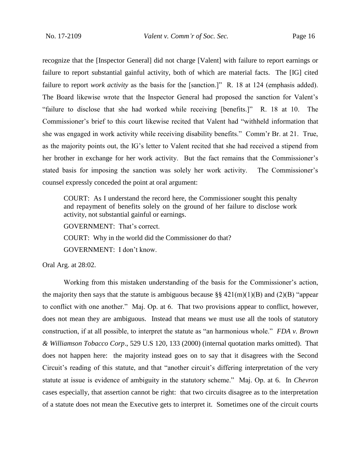recognize that the [Inspector General] did not charge [Valent] with failure to report earnings or failure to report substantial gainful activity, both of which are material facts. The [IG] cited failure to report *work activity* as the basis for the [sanction.]" R. 18 at 124 (emphasis added). The Board likewise wrote that the Inspector General had proposed the sanction for Valent's "failure to disclose that she had worked while receiving [benefits.]" R. 18 at 10. The Commissioner's brief to this court likewise recited that Valent had "withheld information that she was engaged in work activity while receiving disability benefits." Comm'r Br. at 21. True, as the majority points out, the IG's letter to Valent recited that she had received a stipend from her brother in exchange for her work activity. But the fact remains that the Commissioner's stated basis for imposing the sanction was solely her work activity. The Commissioner's counsel expressly conceded the point at oral argument:

COURT: As I understand the record here, the Commissioner sought this penalty and repayment of benefits solely on the ground of her failure to disclose work activity, not substantial gainful or earnings.

GOVERNMENT: That's correct. COURT: Why in the world did the Commissioner do that? GOVERNMENT: I don't know.

Oral Arg. at 28:02.

Working from this mistaken understanding of the basis for the Commissioner's action, the majority then says that the statute is ambiguous because  $\S\S 421(m)(1)(B)$  and (2)(B) "appear to conflict with one another." Maj. Op. at 6. That two provisions appear to conflict, however, does not mean they are ambiguous. Instead that means we must use all the tools of statutory construction, if at all possible, to interpret the statute as "an harmonious whole." *FDA v. Brown & Williamson Tobacco Corp*., 529 U.S 120, 133 (2000) (internal quotation marks omitted). That does not happen here: the majority instead goes on to say that it disagrees with the Second Circuit's reading of this statute, and that "another circuit's differing interpretation of the very statute at issue is evidence of ambiguity in the statutory scheme." Maj. Op. at 6. In *Chevron*  cases especially, that assertion cannot be right: that two circuits disagree as to the interpretation of a statute does not mean the Executive gets to interpret it. Sometimes one of the circuit courts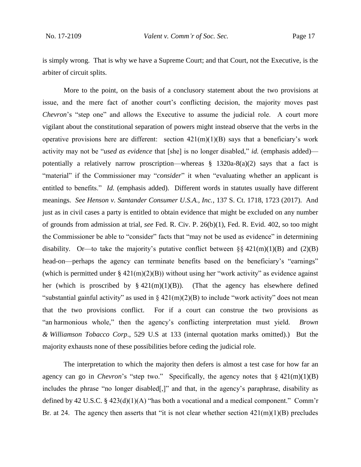is simply wrong. That is why we have a Supreme Court; and that Court, not the Executive, is the arbiter of circuit splits.

More to the point, on the basis of a conclusory statement about the two provisions at issue, and the mere fact of another court's conflicting decision, the majority moves past *Chevron*'s "step one" and allows the Executive to assume the judicial role. A court more vigilant about the constitutional separation of powers might instead observe that the verbs in the operative provisions here are different: section  $421(m)(1)(B)$  says that a beneficiary's work activity may not be "*used as evidence* that [she] is no longer disabled," *id.* (emphasis added) potentially a relatively narrow proscription—whereas  $\S$  1320a-8(a)(2) says that a fact is "material" if the Commissioner may "*consider*" it when "evaluating whether an applicant is entitled to benefits." *Id.* (emphasis added). Different words in statutes usually have different meanings. *See Henson v. Santander Consumer U.S.A., Inc.*, 137 S. Ct. 1718, 1723 (2017). And just as in civil cases a party is entitled to obtain evidence that might be excluded on any number of grounds from admission at trial, *see* Fed. R. Civ. P. 26(b)(1), Fed. R. Evid. 402, so too might the Commissioner be able to "consider" facts that "may not be used as evidence" in determining disability. Or—to take the majority's putative conflict between  $\S § 421(m)(1)(B)$  and  $(2)(B)$ head-on—perhaps the agency can terminate benefits based on the beneficiary's "earnings" (which is permitted under  $\S$  421(m)(2)(B)) without using her "work activity" as evidence against her (which is proscribed by  $\S 421(m)(1)(B)$ ). (That the agency has elsewhere defined "substantial gainful activity" as used in  $\S$  421(m)(2)(B) to include "work activity" does not mean that the two provisions conflict. For if a court can construe the two provisions as "an harmonious whole," then the agency's conflicting interpretation must yield. *Brown & Williamson Tobacco Corp*., 529 U.S at 133 (internal quotation marks omitted).) But the majority exhausts none of these possibilities before ceding the judicial role.

The interpretation to which the majority then defers is almost a test case for how far an agency can go in *Chevron*'s "step two." Specifically, the agency notes that  $\S$  421(m)(1)(B) includes the phrase "no longer disabled[,]" and that, in the agency's paraphrase, disability as defined by 42 U.S.C. § 423(d)(1)(A) "has both a vocational and a medical component." Comm'r Br. at 24. The agency then asserts that "it is not clear whether section  $421(m)(1)(B)$  precludes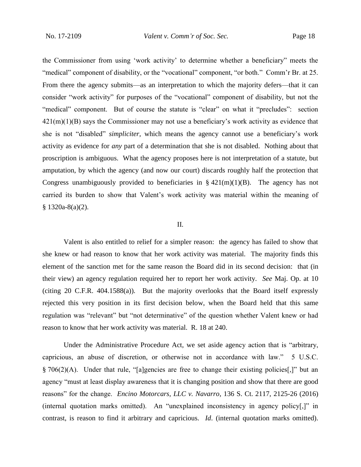the Commissioner from using 'work activity' to determine whether a beneficiary" meets the "medical" component of disability, or the "vocational" component, "or both." Comm'r Br. at 25. From there the agency submits—as an interpretation to which the majority defers—that it can consider "work activity" for purposes of the "vocational" component of disability, but not the "medical" component. But of course the statute is "clear" on what it "precludes": section  $421(m)(1)(B)$  says the Commissioner may not use a beneficiary's work activity as evidence that she is not "disabled" *simpliciter*, which means the agency cannot use a beneficiary's work activity as evidence for *any* part of a determination that she is not disabled. Nothing about that proscription is ambiguous. What the agency proposes here is not interpretation of a statute, but amputation, by which the agency (and now our court) discards roughly half the protection that Congress unambiguously provided to beneficiaries in  $\S$  421(m)(1)(B). The agency has not carried its burden to show that Valent's work activity was material within the meaning of  $§ 1320a-8(a)(2).$ 

### II.

Valent is also entitled to relief for a simpler reason: the agency has failed to show that she knew or had reason to know that her work activity was material. The majority finds this element of the sanction met for the same reason the Board did in its second decision: that (in their view) an agency regulation required her to report her work activity. *See* Maj. Op. at 10 (citing 20 C.F.R. 404.1588(a)). But the majority overlooks that the Board itself expressly rejected this very position in its first decision below, when the Board held that this same regulation was "relevant" but "not determinative" of the question whether Valent knew or had reason to know that her work activity was material. R. 18 at 240.

Under the Administrative Procedure Act, we set aside agency action that is "arbitrary, capricious, an abuse of discretion, or otherwise not in accordance with law." 5 U.S.C. § 706(2)(A). Under that rule, "[a]gencies are free to change their existing policies[,]" but an agency "must at least display awareness that it is changing position and show that there are good reasons" for the change. *Encino Motorcars, LLC v. Navarro*, 136 S. Ct. 2117, 2125-26 (2016) (internal quotation marks omitted). An "unexplained inconsistency in agency policy[,]" in contrast, is reason to find it arbitrary and capricious. *Id*. (internal quotation marks omitted).